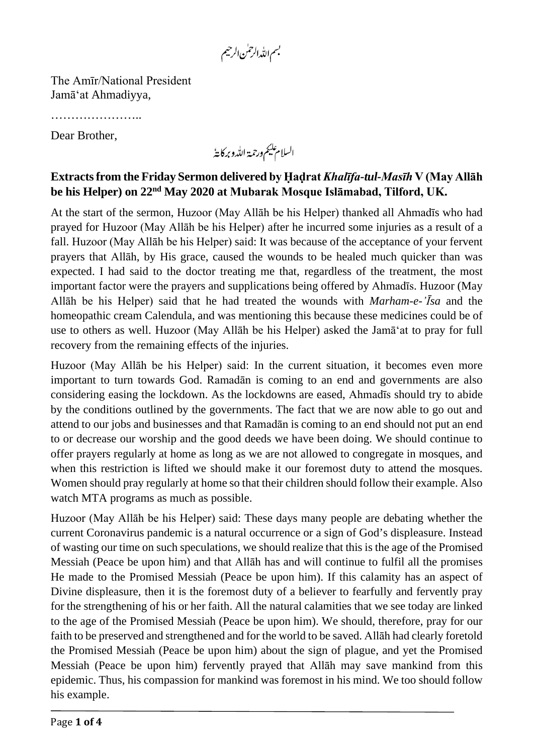بسم اللدالرحس الرحيم

The Amīr/National President Jamā'at Ahmadiyya,

………………………………

Dear Brother,

السلام عليم ورحمة الله وبركايةُ

## **Extracts from the Friday Sermon delivered by Ḥaḍrat** *Khalīfa-tul-Masīh* **V (May Allāh be his Helper) on 22nd May 2020 at Mubarak Mosque Islāmabad, Tilford, UK.**

At the start of the sermon, Huzoor (May Allāh be his Helper) thanked all Ahmadīs who had prayed for Huzoor (May Allāh be his Helper) after he incurred some injuries as a result of a fall. Huzoor (May Allāh be his Helper) said: It was because of the acceptance of your fervent prayers that Allāh, by His grace, caused the wounds to be healed much quicker than was expected. I had said to the doctor treating me that, regardless of the treatment, the most important factor were the prayers and supplications being offered by Ahmadīs. Huzoor (May Allāh be his Helper) said that he had treated the wounds with *Marham-e-'Īsa* and the homeopathic cream Calendula, and was mentioning this because these medicines could be of use to others as well. Huzoor (May Allāh be his Helper) asked the Jamā'at to pray for full recovery from the remaining effects of the injuries.

Huzoor (May Allāh be his Helper) said: In the current situation, it becomes even more important to turn towards God. Ramadān is coming to an end and governments are also considering easing the lockdown. As the lockdowns are eased, Ahmadīs should try to abide by the conditions outlined by the governments. The fact that we are now able to go out and attend to our jobs and businesses and that Ramadān is coming to an end should not put an end to or decrease our worship and the good deeds we have been doing. We should continue to offer prayers regularly at home as long as we are not allowed to congregate in mosques, and when this restriction is lifted we should make it our foremost duty to attend the mosques. Women should pray regularly at home so that their children should follow their example. Also watch MTA programs as much as possible.

Huzoor (May Allāh be his Helper) said: These days many people are debating whether the current Coronavirus pandemic is a natural occurrence or a sign of God's displeasure. Instead of wasting our time on such speculations, we should realize that this is the age of the Promised Messiah (Peace be upon him) and that Allāh has and will continue to fulfil all the promises He made to the Promised Messiah (Peace be upon him). If this calamity has an aspect of Divine displeasure, then it is the foremost duty of a believer to fearfully and fervently pray for the strengthening of his or her faith. All the natural calamities that we see today are linked to the age of the Promised Messiah (Peace be upon him). We should, therefore, pray for our faith to be preserved and strengthened and for the world to be saved. Allāh had clearly foretold the Promised Messiah (Peace be upon him) about the sign of plague, and yet the Promised Messiah (Peace be upon him) fervently prayed that Allāh may save mankind from this epidemic. Thus, his compassion for mankind was foremost in his mind. We too should follow his example.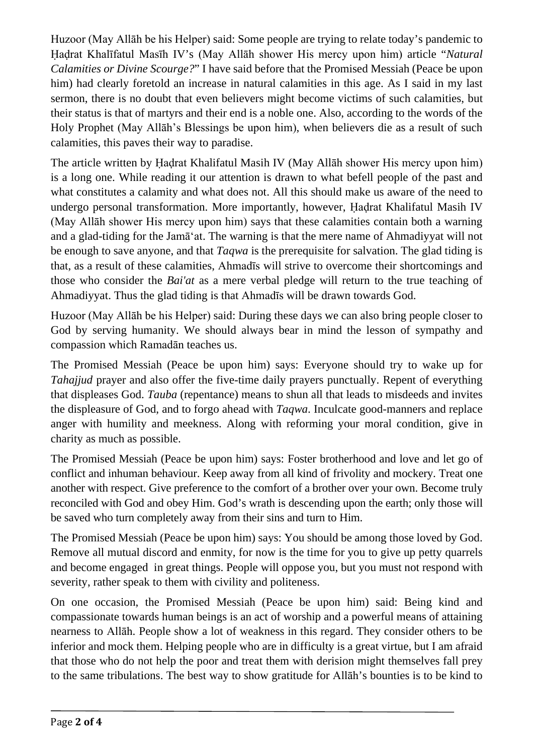Huzoor (May Allāh be his Helper) said: Some people are trying to relate today's pandemic to Ḥaḍrat Khalīfatul Masīh IV's (May Allāh shower His mercy upon him) article "*Natural Calamities or Divine Scourge?*" I have said before that the Promised Messiah (Peace be upon him) had clearly foretold an increase in natural calamities in this age. As I said in my last sermon, there is no doubt that even believers might become victims of such calamities, but their status is that of martyrs and their end is a noble one. Also, according to the words of the Holy Prophet (May Allāh's Blessings be upon him), when believers die as a result of such calamities, this paves their way to paradise.

The article written by Ḥaḍrat Khalifatul Masih IV (May Allāh shower His mercy upon him) is a long one. While reading it our attention is drawn to what befell people of the past and what constitutes a calamity and what does not. All this should make us aware of the need to undergo personal transformation. More importantly, however, Ḥaḍrat Khalifatul Masih IV (May Allāh shower His mercy upon him) says that these calamities contain both a warning and a glad-tiding for the Jamā'at. The warning is that the mere name of Ahmadiyyat will not be enough to save anyone, and that *Taqwa* is the prerequisite for salvation. The glad tiding is that, as a result of these calamities, Ahmadīs will strive to overcome their shortcomings and those who consider the *Bai'at* as a mere verbal pledge will return to the true teaching of Ahmadiyyat. Thus the glad tiding is that Ahmadīs will be drawn towards God.

Huzoor (May Allāh be his Helper) said: During these days we can also bring people closer to God by serving humanity. We should always bear in mind the lesson of sympathy and compassion which Ramadān teaches us.

The Promised Messiah (Peace be upon him) says: Everyone should try to wake up for *Tahajjud* prayer and also offer the five-time daily prayers punctually. Repent of everything that displeases God. *Tauba* (repentance) means to shun all that leads to misdeeds and invites the displeasure of God, and to forgo ahead with *Taqwa*. Inculcate good-manners and replace anger with humility and meekness. Along with reforming your moral condition, give in charity as much as possible.

The Promised Messiah (Peace be upon him) says: Foster brotherhood and love and let go of conflict and inhuman behaviour. Keep away from all kind of frivolity and mockery. Treat one another with respect. Give preference to the comfort of a brother over your own. Become truly reconciled with God and obey Him. God's wrath is descending upon the earth; only those will be saved who turn completely away from their sins and turn to Him.

The Promised Messiah (Peace be upon him) says: You should be among those loved by God. Remove all mutual discord and enmity, for now is the time for you to give up petty quarrels and become engaged in great things. People will oppose you, but you must not respond with severity, rather speak to them with civility and politeness.

On one occasion, the Promised Messiah (Peace be upon him) said: Being kind and compassionate towards human beings is an act of worship and a powerful means of attaining nearness to Allāh. People show a lot of weakness in this regard. They consider others to be inferior and mock them. Helping people who are in difficulty is a great virtue, but I am afraid that those who do not help the poor and treat them with derision might themselves fall prey to the same tribulations. The best way to show gratitude for Allāh's bounties is to be kind to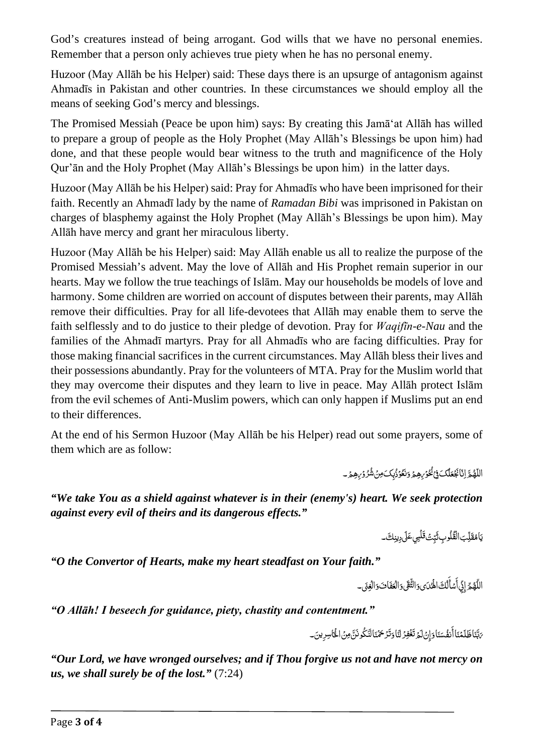God's creatures instead of being arrogant. God wills that we have no personal enemies. Remember that a person only achieves true piety when he has no personal enemy.

Huzoor (May Allāh be his Helper) said: These days there is an upsurge of antagonism against Ahmadīs in Pakistan and other countries. In these circumstances we should employ all the means of seeking God's mercy and blessings.

The Promised Messiah (Peace be upon him) says: By creating this Jamā'at Allāh has willed to prepare a group of people as the Holy Prophet (May Allāh's Blessings be upon him) had done, and that these people would bear witness to the truth and magnificence of the Holy Qur'ān and the Holy Prophet (May Allāh's Blessings be upon him) in the latter days.

Huzoor (May Allāh be his Helper) said: Pray for Ahmadīs who have been imprisoned for their faith. Recently an Ahmadī lady by the name of *Ramadan Bibi* was imprisoned in Pakistan on charges of blasphemy against the Holy Prophet (May Allāh's Blessings be upon him). May Allāh have mercy and grant her miraculous liberty.

Huzoor (May Allāh be his Helper) said: May Allāh enable us all to realize the purpose of the Promised Messiah's advent. May the love of Allāh and His Prophet remain superior in our hearts. May we follow the true teachings of Islām. May our households be models of love and harmony. Some children are worried on account of disputes between their parents, may Allāh remove their difficulties. Pray for all life-devotees that Allāh may enable them to serve the faith selflessly and to do justice to their pledge of devotion. Pray for *Waqifīn-e-Nau* and the families of the Ahmadī martyrs. Pray for all Ahmadīs who are facing difficulties. Pray for those making financial sacrifices in the current circumstances. May Allāh bless their lives and their possessions abundantly. Pray for the volunteers of MTA. Pray for the Muslim world that they may overcome their disputes and they learn to live in peace. May Allāh protect Islām from the evil schemes of Anti-Muslim powers, which can only happen if Muslims put an end to their differences.

At the end of his Sermon Huzoor (May Allāh be his Helper) read out some prayers, some of them which are as follow:

> اللَّهُمَّ اِنَّا بَجْعَلُکَ فِيُ خُوْرِهِمُ وَنَعُوْذُبِکَ مِنۡ شُرُوۡرِهِمَ ۔ ֖֖֖֦֧֚֚֚֚֡<u>֓</u> ֡֡<u>֡</u> اً<br>ا ْ ֺ֖֖֖֖֖ׅ֪ׅ֚֚֚֚֚֚֚֚֚֚֚֚֚֚֚֚֚֚֚֚֚֝֝֝֝֟֓֡֟֓֡֟֓֞֟֓֡֟֓֡֟֓֡֟֓֡֟֓֡֟֓֞֬֓֞֬֝֬֝֓֞֬֝֬֝֓֞֬֝֬֝֓֞֬֝֝֬֝֬֝֝֬֝֬ ֡֟֟֟֟֟֟֟֟֟֟֟֟֟֟֟֟֟֟֟֟֟֟֡֬<sup>֟</sup> ؚ<br>ا ؚ<br>ا ْ

*"We take You as a shield against whatever is in their (enemy's) heart. We seek protection against every evil of theirs and its dangerous effects."*

> ؾؘٳۿۊؘڵۣڹٳالْقُلُوبِ ثَبِّتۡ قَلۡبِيٖعَلَىٰ دِينِكَ َل ِ֧֖֖֧֧֖֧֚֚֝֟֟֓֝֬֟֓֝֬֝֬֝֬֓֝֬<u>֓</u> ؚ<br>ا ֧֖֧֦֧֦֧֦֧ׅ֧֦֧ׅ֧֧ׅ֦֧ׅ֧֧֧֪ׅ֧֦֧֧֧ׅ֧֧֧ׅ֧֧֧֧֧֚֚֝֜֓֓֓֜֓֓֝֬֜֓֓֞֬֜֓֓֝֬֓֓֓֞֜֬֓֜֓֓֜֓<br>֧֧֜ َل ؚ<br>ا

*"O the Convertor of Hearts, make my heart steadfast on Your faith."*

اللَّهُمِّ إِنِّي أَسَأَلُكَ الْهُدَى وَالثَّقَى وَالْعَفَاتَ وَالْغِنَى۔ ِ  $\ddot{\phantom{a}}$ اً<br>ا  $\ddot{\phantom{a}}$ ان<br>ا َ ل َ **ٔ** ؚ<br>ا

*"O Allāh! I beseech for guidance, piety, chastity and contentment."*

<sub>َ ك</sub>َّبَّنَاظَلَمْنَا أَنفُسَنَا وَإِنْ لَمَّ تَغْفِرُ لَنَا وَتَرَْحَمْنَا لَنَكُونَنَّ مِنْ الْخَاسِرِينَ۔ ٔ, .<br>ا َن ّ ب ا<br>ا ֖֖֖֖֖֚֚֚֚֚֚֚֚֡<br>֧֪֪֪֪֪֪֪֪֪֪֝<u>֚</u> ٔ<br>ا ْ ت َ ت .<br>ا ֡֡<u>֚</u> َ أ

*"Our Lord, we have wronged ourselves; and if Thou forgive us not and have not mercy on us, we shall surely be of the lost."* (7:24)